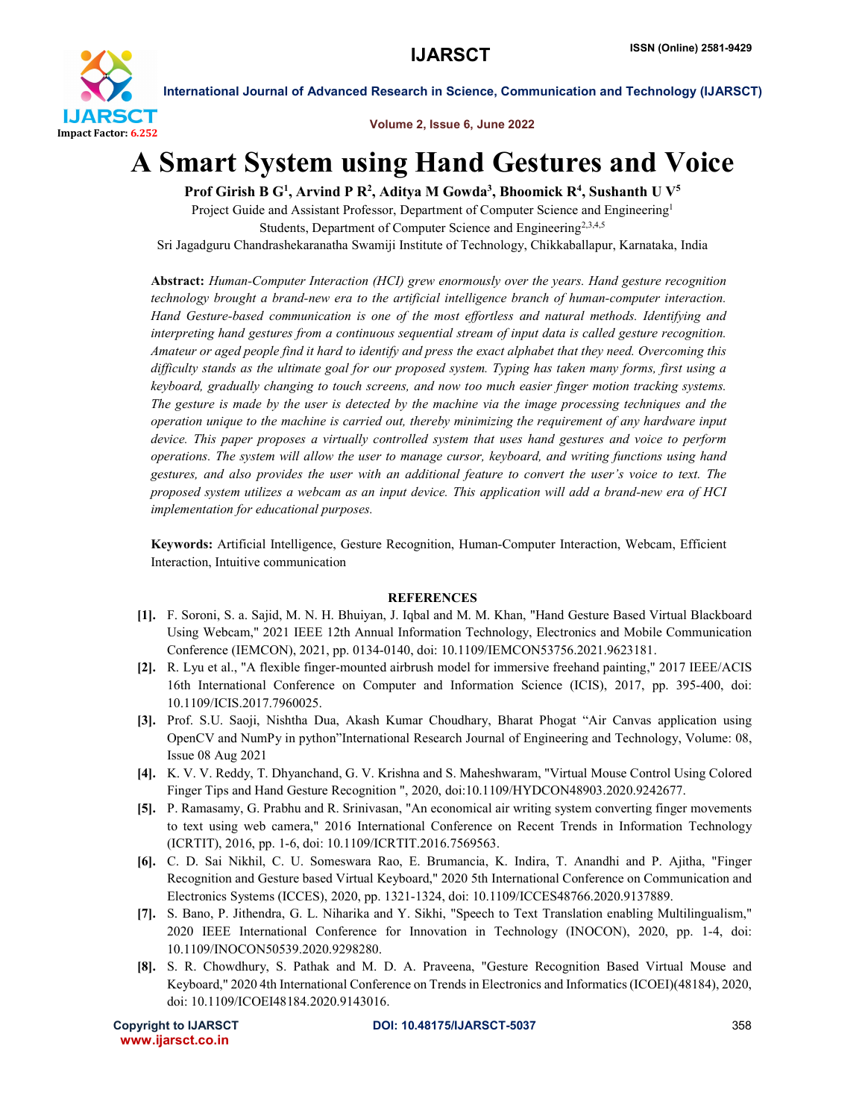

International Journal of Advanced Research in Science, Communication and Technology (IJARSCT)

Volume 2, Issue 6, June 2022

## A Smart System using Hand Gestures and Voice

Prof Girish B G<sup>1</sup>, Arvind P R<sup>2</sup>, Aditya M Gowda<sup>3</sup>, Bhoomick R<sup>4</sup>, Sushanth U V<sup>5</sup>

Project Guide and Assistant Professor, Department of Computer Science and Engineering<sup>1</sup> Students, Department of Computer Science and Engineering<sup>2,3,4,5</sup> Sri Jagadguru Chandrashekaranatha Swamiji Institute of Technology, Chikkaballapur, Karnataka, India

Abstract: *Human-Computer Interaction (HCI) grew enormously over the years. Hand gesture recognition technology brought a brand-new era to the artificial intelligence branch of human-computer interaction. Hand Gesture-based communication is one of the most effortless and natural methods. Identifying and interpreting hand gestures from a continuous sequential stream of input data is called gesture recognition. Amateur or aged people find it hard to identify and press the exact alphabet that they need. Overcoming this difficulty stands as the ultimate goal for our proposed system. Typing has taken many forms, first using a keyboard, gradually changing to touch screens, and now too much easier finger motion tracking systems. The gesture is made by the user is detected by the machine via the image processing techniques and the operation unique to the machine is carried out, thereby minimizing the requirement of any hardware input device. This paper proposes a virtually controlled system that uses hand gestures and voice to perform operations. The system will allow the user to manage cursor, keyboard, and writing functions using hand gestures, and also provides the user with an additional feature to convert the user's voice to text. The proposed system utilizes a webcam as an input device. This application will add a brand-new era of HCI implementation for educational purposes.*

Keywords: Artificial Intelligence, Gesture Recognition, Human-Computer Interaction, Webcam, Efficient Interaction, Intuitive communication

## **REFERENCES**

- [1]. F. Soroni, S. a. Sajid, M. N. H. Bhuiyan, J. Iqbal and M. M. Khan, "Hand Gesture Based Virtual Blackboard Using Webcam," 2021 IEEE 12th Annual Information Technology, Electronics and Mobile Communication Conference (IEMCON), 2021, pp. 0134-0140, doi: 10.1109/IEMCON53756.2021.9623181.
- [2]. R. Lyu et al., "A flexible finger-mounted airbrush model for immersive freehand painting," 2017 IEEE/ACIS 16th International Conference on Computer and Information Science (ICIS), 2017, pp. 395-400, doi: 10.1109/ICIS.2017.7960025.
- [3]. Prof. S.U. Saoji, Nishtha Dua, Akash Kumar Choudhary, Bharat Phogat "Air Canvas application using OpenCV and NumPy in python"International Research Journal of Engineering and Technology, Volume: 08, Issue 08 Aug 2021
- [4]. K. V. V. Reddy, T. Dhyanchand, G. V. Krishna and S. Maheshwaram, "Virtual Mouse Control Using Colored Finger Tips and Hand Gesture Recognition ", 2020, doi:10.1109/HYDCON48903.2020.9242677.
- [5]. P. Ramasamy, G. Prabhu and R. Srinivasan, "An economical air writing system converting finger movements to text using web camera," 2016 International Conference on Recent Trends in Information Technology (ICRTIT), 2016, pp. 1-6, doi: 10.1109/ICRTIT.2016.7569563.
- [6]. C. D. Sai Nikhil, C. U. Someswara Rao, E. Brumancia, K. Indira, T. Anandhi and P. Ajitha, "Finger Recognition and Gesture based Virtual Keyboard," 2020 5th International Conference on Communication and Electronics Systems (ICCES), 2020, pp. 1321-1324, doi: 10.1109/ICCES48766.2020.9137889.
- [7]. S. Bano, P. Jithendra, G. L. Niharika and Y. Sikhi, "Speech to Text Translation enabling Multilingualism," 2020 IEEE International Conference for Innovation in Technology (INOCON), 2020, pp. 1-4, doi: 10.1109/INOCON50539.2020.9298280.
- [8]. S. R. Chowdhury, S. Pathak and M. D. A. Praveena, "Gesture Recognition Based Virtual Mouse and Keyboard," 2020 4th International Conference on Trends in Electronics and Informatics (ICOEI)(48184), 2020, doi: 10.1109/ICOEI48184.2020.9143016.

```
 www.ijarsct.co.in
```